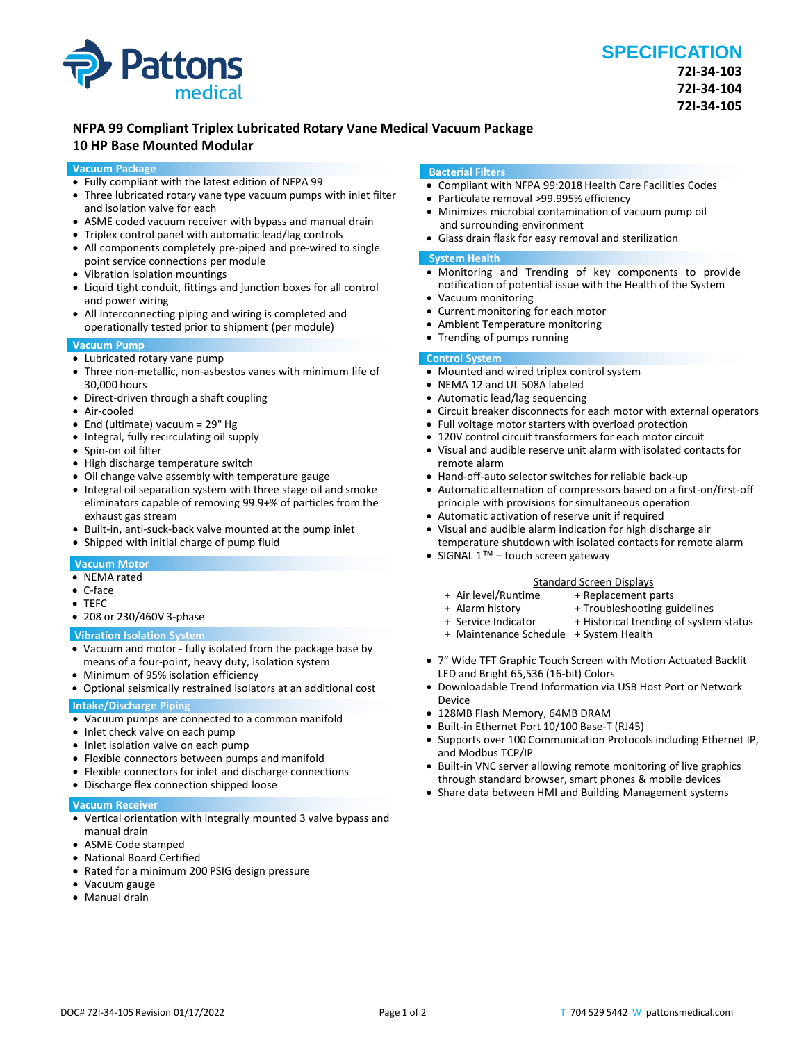

## **NFPA 99 Compliant Triplex Lubricated Rotary Vane Medical Vacuum Package**

### **10 HP Base Mounted Modular**

#### **Vacuum Package**

- Fully compliant with the latest edition of NFPA 99
- Three lubricated rotary vane type vacuum pumps with inlet filter and isolation valve for each
- ASME coded vacuum receiver with bypass and manual drain
- Triplex control panel with automatic lead/lag controls
- All components completely pre-piped and pre-wired to single point service connections per module
- Vibration isolation mountings
- Liquid tight conduit, fittings and junction boxes for all control and power wiring
- All interconnecting piping and wiring is completed and operationally tested prior to shipment (per module)

#### **Vacuum Pump**

- Lubricated rotary vane pump
- Three non-metallic, non-asbestos vanes with minimum life of 30,000 hours
- Direct-driven through a shaft coupling
- Air-cooled
- End (ultimate) vacuum = 29" Hg
- Integral, fully recirculating oil supply
- Spin-on oil filter
- High discharge temperature switch
- Oil change valve assembly with temperature gauge
- Integral oil separation system with three stage oil and smoke eliminators capable of removing 99.9+% of particles from the exhaust gas stream
- Built-in, anti-suck-back valve mounted at the pump inlet
- Shipped with initial charge of pump fluid

#### **Vacuum Motor**

- NEMA rated
- C-face
- TEFC
- 208 or 230/460V 3-phase

#### **Vibration Isolation System**

- Vacuum and motor fully isolated from the package base by means of a four-point, heavy duty, isolation system
- Minimum of 95% isolation efficiency
- Optional seismically restrained isolators at an additional cost

### **Intake/Discharge Piping**

- Vacuum pumps are connected to a common manifold
- Inlet check valve on each pump
- Inlet isolation valve on each pump
- Flexible connectors between pumps and manifold
- Flexible connectors for inlet and discharge connections
- Discharge flex connection shipped loose

#### **Vacuum Receiver**

- Vertical orientation with integrally mounted 3 valve bypass and manual drain
- ASME Code stamped
- National Board Certified
- Rated for a minimum 200 PSIG design pressure
- Vacuum gauge
- Manual drain

#### **Bacterial Filters**

- Compliant with NFPA 99:2018 Health Care Facilities Codes
- Particulate removal >99.995% efficiency
- Minimizes microbial contamination of vacuum pump oil and surrounding environment
- Glass drain flask for easy removal and sterilization

#### **System Health**

- Monitoring and Trending of key components to provide notification of potential issue with the Health of the System
- Vacuum monitoring
- Current monitoring for each motor
- Ambient Temperature monitoring
- Trending of pumps running

#### **Control System**

- Mounted and wired triplex control system
- NEMA 12 and UL 508A labeled
- Automatic lead/lag sequencing
- Circuit breaker disconnects for each motor with external operators
- Full voltage motor starters with overload protection
- 120V control circuit transformers for each motor circuit
- Visual and audible reserve unit alarm with isolated contacts for remote alarm
- Hand-off-auto selector switches for reliable back-up
- Automatic alternation of compressors based on a first-on/first-off principle with provisions for simultaneous operation
- Automatic activation of reserve unit if required • Visual and audible alarm indication for high discharge air
- temperature shutdown with isolated contacts for remote alarm
- SIGNAL 1<sup>™</sup> touch screen gateway

- Standard Screen Displays<br>Air level/Runtime + Replacement p + Replacement parts
- 
- + Alarm history + Troubleshooting guidelines<br>+ Service Indicator + Historical trending of system + Historical trending of system status
- + Maintenance Schedule + System Health
- 7" Wide TFT Graphic Touch Screen with Motion Actuated Backlit
- LED and Bright 65,536 (16-bit) Colors
- Downloadable Trend Information via USB Host Port or Network Device
- 128MB Flash Memory, 64MB DRAM
- Built-in Ethernet Port 10/100 Base-T (RJ45)
- Supports over 100 Communication Protocols including Ethernet IP, and Modbus TCP/IP
- Built-in VNC server allowing remote monitoring of live graphics through standard browser, smart phones & mobile devices
- Share data between HMI and Building Management systems